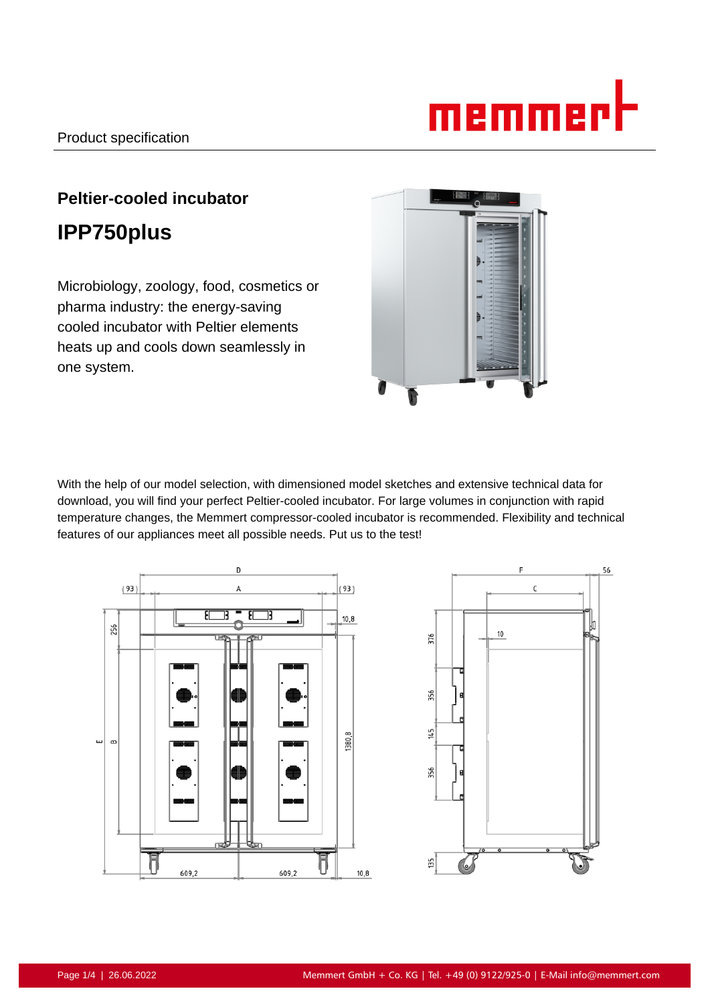# memmerl

## **Peltier-cooled incubator IPP750plus**

Microbiology, zoology, food, cosmetics or pharma industry: the energy-saving cooled incubator with Peltier elements heats up and cools down seamlessly in one system.



With the help of our model selection, with dimensioned model sketches and extensive technical data for download, you will find your perfect Peltier-cooled incubator. For large volumes in conjunction with rapid temperature changes, the Memmert compressor-cooled incubator is recommended. Flexibility and technical features of our appliances meet all possible needs. Put us to the test!



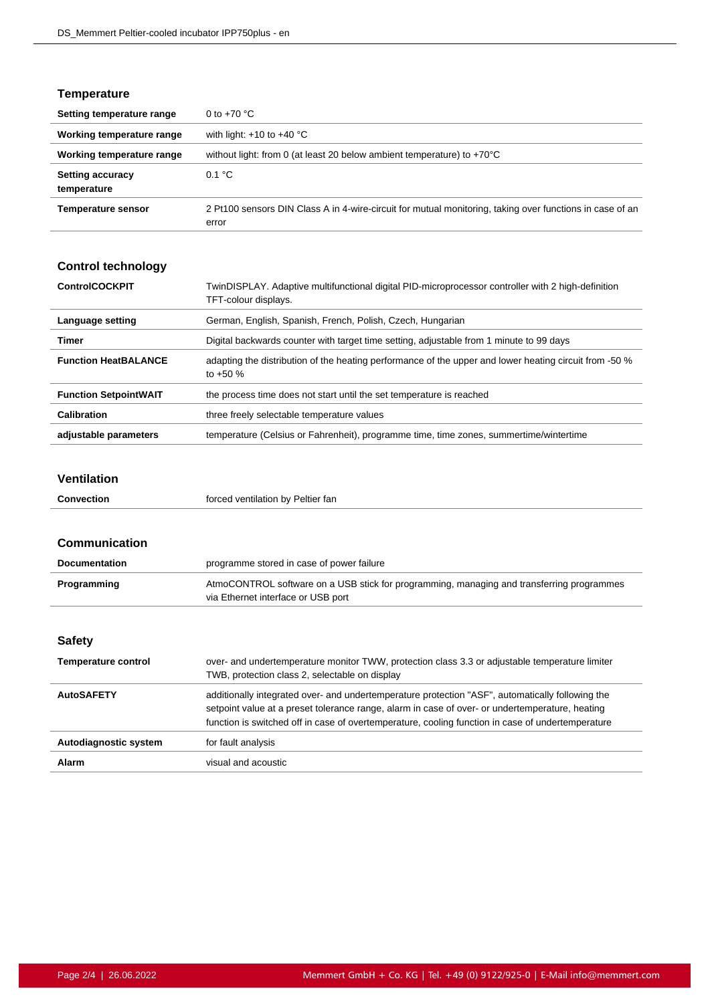#### **Temperature**

| Setting temperature range              | 0 to $+70$ °C                                                                                                     |
|----------------------------------------|-------------------------------------------------------------------------------------------------------------------|
| Working temperature range              | with light: $+10$ to $+40$ °C                                                                                     |
| Working temperature range              | without light: from 0 (at least 20 below ambient temperature) to $+70^{\circ}$ C                                  |
| <b>Setting accuracy</b><br>temperature | 0.1 °C                                                                                                            |
| <b>Temperature sensor</b>              | 2 Pt100 sensors DIN Class A in 4-wire-circuit for mutual monitoring, taking over functions in case of an<br>error |

#### **Control technology**

| <b>ControlCOCKPIT</b>        | TwinDISPLAY. Adaptive multifunctional digital PID-microprocessor controller with 2 high-definition<br>TFT-colour displays. |
|------------------------------|----------------------------------------------------------------------------------------------------------------------------|
| Language setting             | German, English, Spanish, French, Polish, Czech, Hungarian                                                                 |
| Timer                        | Digital backwards counter with target time setting, adjustable from 1 minute to 99 days                                    |
| <b>Function HeatBALANCE</b>  | adapting the distribution of the heating performance of the upper and lower heating circuit from -50 %<br>to $+50%$        |
| <b>Function SetpointWAIT</b> | the process time does not start until the set temperature is reached                                                       |
| <b>Calibration</b>           | three freely selectable temperature values                                                                                 |
| adjustable parameters        | temperature (Celsius or Fahrenheit), programme time, time zones, summertime/wintertime                                     |

#### **Ventilation**

| Convection | forced ventilation by Peltier fan |
|------------|-----------------------------------|
|            |                                   |

| Communication              |                                                                                                                                                                                                                                                                                                          |
|----------------------------|----------------------------------------------------------------------------------------------------------------------------------------------------------------------------------------------------------------------------------------------------------------------------------------------------------|
| <b>Documentation</b>       | programme stored in case of power failure                                                                                                                                                                                                                                                                |
| Programming                | AtmoCONTROL software on a USB stick for programming, managing and transferring programmes<br>via Ethernet interface or USB port                                                                                                                                                                          |
|                            |                                                                                                                                                                                                                                                                                                          |
| <b>Safety</b>              |                                                                                                                                                                                                                                                                                                          |
| <b>Temperature control</b> | over- and undertemperature monitor TWW, protection class 3.3 or adjustable temperature limiter<br>TWB, protection class 2, selectable on display                                                                                                                                                         |
| <b>AutoSAFETY</b>          | additionally integrated over- and undertemperature protection "ASF", automatically following the<br>setpoint value at a preset tolerance range, alarm in case of over- or undertemperature, heating<br>function is switched off in case of overtemperature, cooling function in case of undertemperature |
| Autodiagnostic system      | for fault analysis                                                                                                                                                                                                                                                                                       |
| <b>Alarm</b>               | visual and acoustic                                                                                                                                                                                                                                                                                      |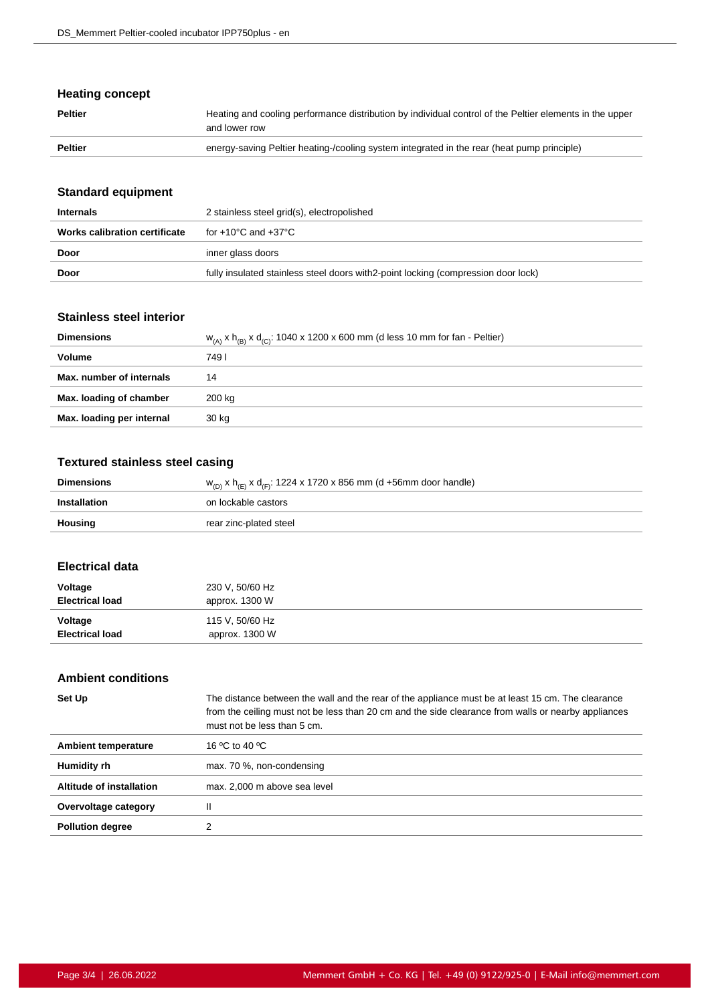#### **Heating concept**

| <b>Peltier</b> | Heating and cooling performance distribution by individual control of the Peltier elements in the upper<br>and lower row |
|----------------|--------------------------------------------------------------------------------------------------------------------------|
| <b>Peltier</b> | energy-saving Peltier heating-/cooling system integrated in the rear (heat pump principle)                               |

#### **Standard equipment**

| <b>Internals</b>              | 2 stainless steel grid(s), electropolished                                         |
|-------------------------------|------------------------------------------------------------------------------------|
| Works calibration certificate | for $+10^{\circ}$ C and $+37^{\circ}$ C                                            |
| Door                          | inner glass doors                                                                  |
| Door                          | fully insulated stainless steel doors with 2-point locking (compression door lock) |

#### **Stainless steel interior**

| <b>Dimensions</b>         | $w_{(A)}$ x $h_{(B)}$ x d <sub>(C)</sub> : 1040 x 1200 x 600 mm (d less 10 mm for fan - Peltier) |
|---------------------------|--------------------------------------------------------------------------------------------------|
| Volume                    | 749 I                                                                                            |
| Max. number of internals  | 14                                                                                               |
| Max. loading of chamber   | 200 kg                                                                                           |
| Max. loading per internal | 30 kg                                                                                            |

#### **Textured stainless steel casing**

| <b>Dimensions</b> | $w_{(D)}$ x h <sub>(F)</sub> x d <sub>(F)</sub> : 1224 x 1720 x 856 mm (d +56mm door handle) |
|-------------------|----------------------------------------------------------------------------------------------|
| Installation      | on lockable castors                                                                          |
| Housing           | rear zinc-plated steel                                                                       |

#### **Electrical data**

| Voltage                | 230 V, 50/60 Hz |
|------------------------|-----------------|
| <b>Electrical load</b> | approx. 1300 W  |
| Voltage                | 115 V, 50/60 Hz |
| <b>Electrical load</b> | approx. 1300 W  |

#### **Ambient conditions**

| Set Up                     | The distance between the wall and the rear of the appliance must be at least 15 cm. The clearance<br>from the ceiling must not be less than 20 cm and the side clearance from walls or nearby appliances<br>must not be less than 5 cm. |
|----------------------------|-----------------------------------------------------------------------------------------------------------------------------------------------------------------------------------------------------------------------------------------|
| <b>Ambient temperature</b> | 16 °C to 40 °C                                                                                                                                                                                                                          |
| Humidity rh                | max. 70 %, non-condensing                                                                                                                                                                                                               |
| Altitude of installation   | max. 2,000 m above sea level                                                                                                                                                                                                            |
| Overvoltage category       |                                                                                                                                                                                                                                         |
| <b>Pollution degree</b>    |                                                                                                                                                                                                                                         |
|                            |                                                                                                                                                                                                                                         |